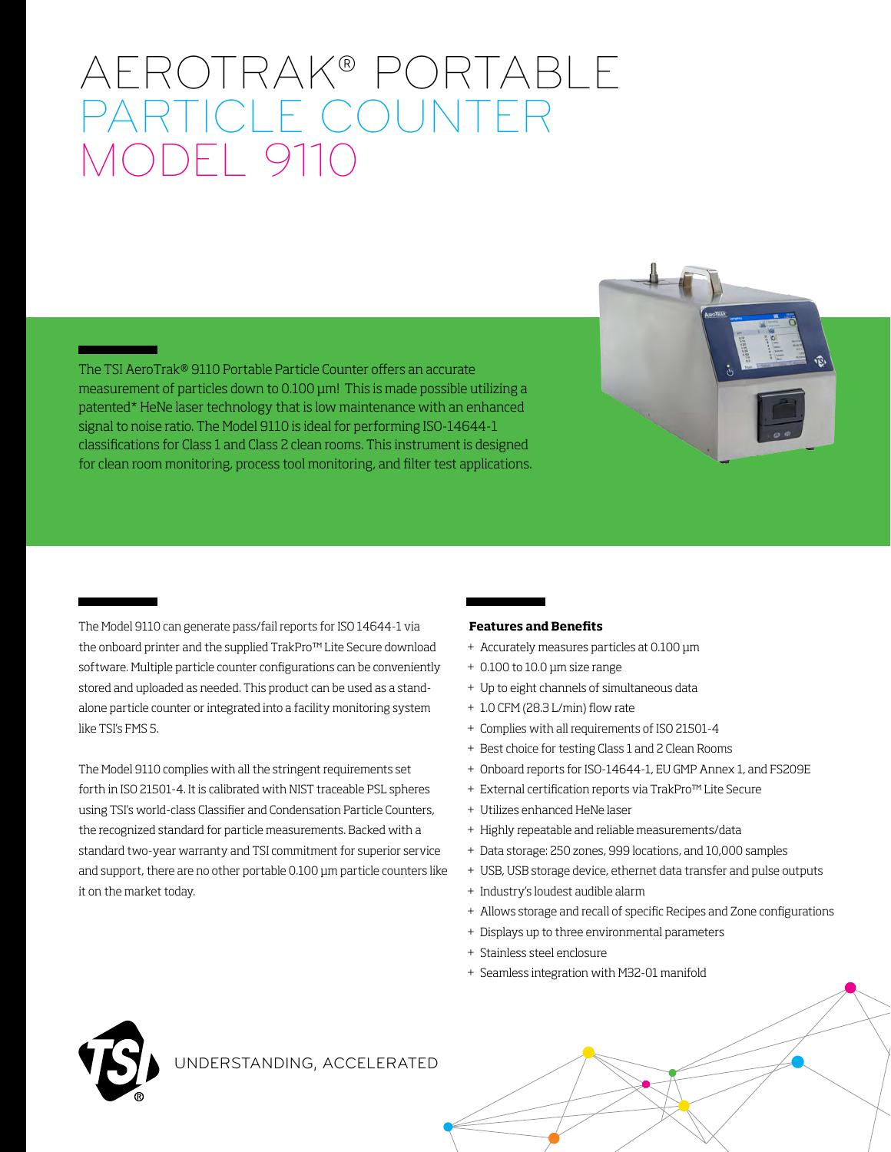# AEROTRAK® PORTABLE PARTICLE COUNTER MODEL 9110

The TSI AeroTrak® 9110 Portable Particle Counter offers an accurate measurement of particles down to 0.100 µm! This is made possible utilizing a patented\* HeNe laser technology that is low maintenance with an enhanced signal to noise ratio. The Model 9110 is ideal for performing ISO-14644-1 classifications for Class 1 and Class 2 clean rooms. This instrument is designed for clean room monitoring, process tool monitoring, and filter test applications.

The Model 9110 can generate pass/fail reports for ISO 14644-1 via the onboard printer and the supplied TrakPro™ Lite Secure download software. Multiple particle counter configurations can be conveniently stored and uploaded as needed. This product can be used as a standalone particle counter or integrated into a facility monitoring system like TSI's FMS 5.

The Model 9110 complies with all the stringent requirements set forth in ISO 21501-4. It is calibrated with NIST traceable PSL spheres using TSI's world-class Classifier and Condensation Particle Counters, the recognized standard for particle measurements. Backed with a standard two-year warranty and TSI commitment for superior service and support, there are no other portable 0.100 µm particle counters like it on the market today.

#### **Features and Benefits**

- + Accurately measures particles at 0.100 μm
- + 0.100 to 10.0 μm size range
- + Up to eight channels of simultaneous data
- + 1.0 CFM (28.3 L/min) flow rate
- + Complies with all requirements of ISO 21501-4
- + Best choice for testing Class 1 and 2 Clean Rooms
- + Onboard reports for ISO-14644-1, EU GMP Annex 1, and FS209E
- + External certification reports via TrakPro™ Lite Secure
- + Utilizes enhanced HeNe laser
- + Highly repeatable and reliable measurements/data
- + Data storage: 250 zones, 999 locations, and 10,000 samples
- + USB, USB storage device, ethernet data transfer and pulse outputs
- + Industry's loudest audible alarm
- + Allows storage and recall of specific Recipes and Zone configurations
- + Displays up to three environmental parameters
- + Stainless steel enclosure
- + Seamless integration with M32-01 manifold

### UNDERSTANDING, ACCELERATED